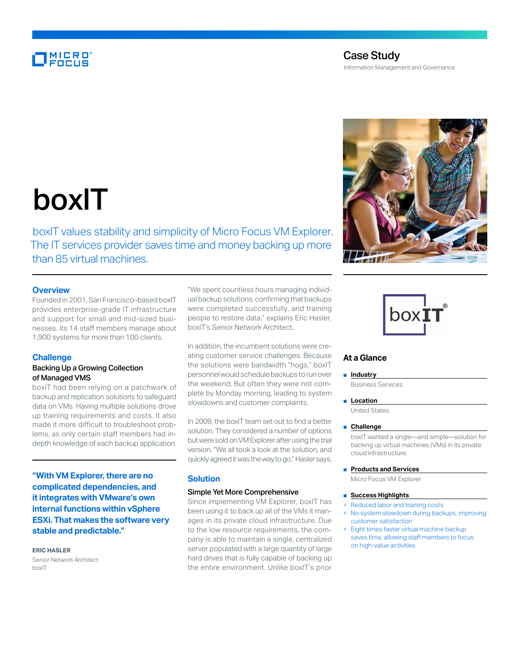# **MICRO**<br>FOCUS

# Case Study Information Management and Governance

# boxIT

boxIT values stability and simplicity of Micro Focus VM Explorer. The IT services provider saves time and money backing up more than 85 virtual machines.

# **Overview**

Founded in 2001, San Francisco–based boxIT provides enterprise-grade IT infrastructure and support for small and mid-sized businesses. Its 14 staff members manage about 1,900 systems for more than 100 clients.

# **Challenge**

# Backing Up a Growing Collection of Managed VMS

boxIT had been relying on a patchwork of backup and replication solutions to safeguard data on VMs. Having multiple solutions drove up training requirements and costs. It also made it more difficult to troubleshoot problems, as only certain staff members had indepth knowledge of each backup application.

**"With VM Explorer, there are no complicated dependencies, and it integrates with VMware's own internal functions within vSphere ESXi. That makes the software very stable and predictable."**

#### **ERIC HASLER**

Senior Network Architect boxIT

"We spent countless hours managing individual backup solutions, confirming that backups were completed successfully, and training people to restore data," explains Eric Hasler, boxIT's Senior Network Architect.

In addition, the incumbent solutions were creating customer service challenges. Because the solutions were bandwidth "hogs," boxIT personnel would schedule backups to run over the weekend. But often they were not complete by Monday morning, leading to system slowdowns and customer complaints.

In 2009, the boxIT team set out to find a better solution. They considered a number of options but were sold on VM Explorer after using the trial version. "We all took a look at the solution, and quickly agreed it was the way to go," Hasler says.

# **Solution**

#### Simple Yet More Comprehensive

Since implementing VM Explorer, boxIT has been using it to back up all of the VMs it manages in its private cloud infrastructure. Due to the low resource requirements, the company is able to maintain a single, centralized server populated with a large quantity of large hard drives that is fully capable of backing up the entire environment. Unlike boxIT's prior



# **At a Glance**

#### ■ **Industry**

Business Services

■ **Location**

United States

#### ■ **Challenge**

boxIT wanted a single—and simple—solution for backing up virtual machines (VMs) in its private cloud infrastructure.

■ **Products and Services** 

Micro Focus VM Explorer

#### ■ **Success Highlights**

- Reduced labor and training costs
- No system slowdown during backups, improving customer satisfaction
- Eight times faster virtual machine backup saves time, allowing staff members to focus on high-value activities